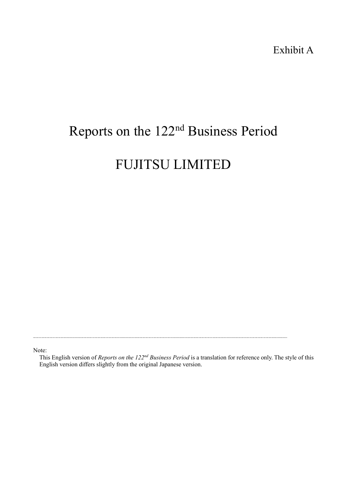# Reports on the 122nd Business Period

# FUJITSU LIMITED

Note:

This English version of *Reports on the 122nd Business Period* is a translation for reference only. The style of this English version differs slightly from the original Japanese version.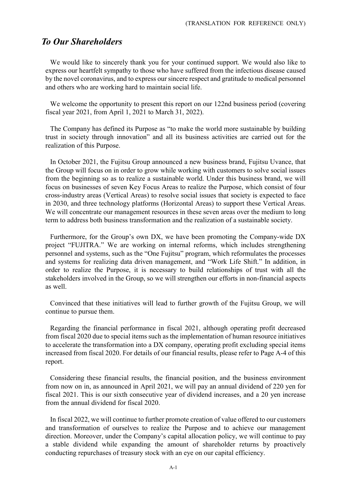# *To Our Shareholders*

We would like to sincerely thank you for your continued support. We would also like to express our heartfelt sympathy to those who have suffered from the infectious disease caused by the novel coronavirus, and to express our sincere respect and gratitude to medical personnel and others who are working hard to maintain social life.

We welcome the opportunity to present this report on our 122nd business period (covering fiscal year 2021, from April 1, 2021 to March 31, 2022).

The Company has defined its Purpose as "to make the world more sustainable by building trust in society through innovation" and all its business activities are carried out for the realization of this Purpose.

In October 2021, the Fujitsu Group announced a new business brand, Fujitsu Uvance, that the Group will focus on in order to grow while working with customers to solve social issues from the beginning so as to realize a sustainable world. Under this business brand, we will focus on businesses of seven Key Focus Areas to realize the Purpose, which consist of four cross-industry areas (Vertical Areas) to resolve social issues that society is expected to face in 2030, and three technology platforms (Horizontal Areas) to support these Vertical Areas. We will concentrate our management resources in these seven areas over the medium to long term to address both business transformation and the realization of a sustainable society.

Furthermore, for the Group's own DX, we have been promoting the Company-wide DX project "FUJITRA." We are working on internal reforms, which includes strengthening personnel and systems, such as the "One Fujitsu" program, which reformulates the processes and systems for realizing data driven management, and "Work Life Shift." In addition, in order to realize the Purpose, it is necessary to build relationships of trust with all the stakeholders involved in the Group, so we will strengthen our efforts in non-financial aspects as well.

Convinced that these initiatives will lead to further growth of the Fujitsu Group, we will continue to pursue them.

Regarding the financial performance in fiscal 2021, although operating profit decreased from fiscal 2020 due to special items such as the implementation of human resource initiatives to accelerate the transformation into a DX company, operating profit excluding special items increased from fiscal 2020. For details of our financial results, please refer to Page A-4 of this report.

Considering these financial results, the financial position, and the business environment from now on in, as announced in April 2021, we will pay an annual dividend of 220 yen for fiscal 2021. This is our sixth consecutive year of dividend increases, and a 20 yen increase from the annual dividend for fiscal 2020.

In fiscal 2022, we will continue to further promote creation of value offered to our customers and transformation of ourselves to realize the Purpose and to achieve our management direction. Moreover, under the Company's capital allocation policy, we will continue to pay a stable dividend while expanding the amount of shareholder returns by proactively conducting repurchases of treasury stock with an eye on our capital efficiency.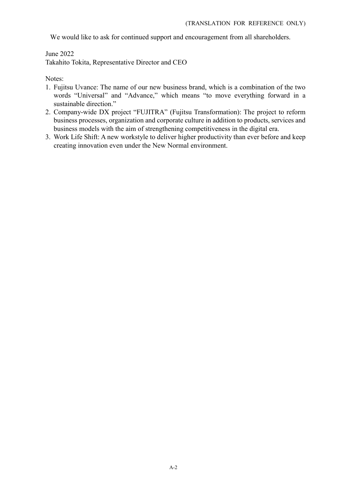We would like to ask for continued support and encouragement from all shareholders.

June 2022

Takahito Tokita, Representative Director and CEO

Notes:

- 1. Fujitsu Uvance: The name of our new business brand, which is a combination of the two words "Universal" and "Advance," which means "to move everything forward in a sustainable direction."
- 2. Company-wide DX project "FUJITRA" (Fujitsu Transformation): The project to reform business processes, organization and corporate culture in addition to products, services and business models with the aim of strengthening competitiveness in the digital era.
- 3. Work Life Shift: A new workstyle to deliver higher productivity than ever before and keep creating innovation even under the New Normal environment.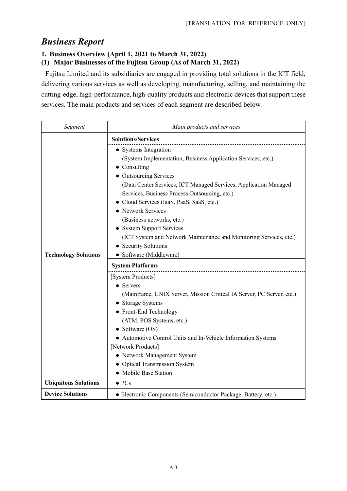# *Business Report*

### **1. Business Overview (April 1, 2021 to March 31, 2022)**

#### **(1) Major Businesses of the Fujitsu Group (As of March 31, 2022)**

Fujitsu Limited and its subsidiaries are engaged in providing total solutions in the ICT field, delivering various services as well as developing, manufacturing, selling, and maintaining the cutting-edge, high-performance, high-quality products and electronic devices that support these services. The main products and services of each segment are described below.

| Segment                     | Main products and services                                                                                                                                                                                                                                                                                                                                                                                                                                                                                                                                                         |  |
|-----------------------------|------------------------------------------------------------------------------------------------------------------------------------------------------------------------------------------------------------------------------------------------------------------------------------------------------------------------------------------------------------------------------------------------------------------------------------------------------------------------------------------------------------------------------------------------------------------------------------|--|
|                             | <b>Solutions/Services</b>                                                                                                                                                                                                                                                                                                                                                                                                                                                                                                                                                          |  |
| <b>Technology Solutions</b> | • Systems Integration<br>(System Implementation, Business Application Services, etc.)<br>$\bullet$ Consulting<br>• Outsourcing Services<br>(Data Center Services, ICT Managed Services, Application Managed<br>Services, Business Process Outsourcing, etc.)<br>Cloud Services (IaaS, PaaS, SaaS, etc.)<br>• Network Services<br>(Business networks, etc.)<br><b>System Support Services</b><br>(ICT System and Network Maintenance and Monitoring Services, etc.)<br>• Security Solutions<br>• Software (Middleware)<br><b>System Platforms</b><br>[System Products]<br>• Servers |  |
|                             | (Mainframe, UNIX Server, Mission Critical IA Server, PC Server, etc.)<br><b>Storage Systems</b><br>• Front-End Technology<br>(ATM, POS Systems, etc.)<br>• Software $(OS)$<br>• Automotive Control Units and In-Vehicle Information Systems<br>[Network Products]<br>• Network Management System                                                                                                                                                                                                                                                                                   |  |
|                             | • Optical Transmission System                                                                                                                                                                                                                                                                                                                                                                                                                                                                                                                                                      |  |
|                             | • Mobile Base Station                                                                                                                                                                                                                                                                                                                                                                                                                                                                                                                                                              |  |
| <b>Ubiquitous Solutions</b> | $\bullet$ PCs                                                                                                                                                                                                                                                                                                                                                                                                                                                                                                                                                                      |  |
| <b>Device Solutions</b>     | • Electronic Components (Semiconductor Package, Battery, etc.)                                                                                                                                                                                                                                                                                                                                                                                                                                                                                                                     |  |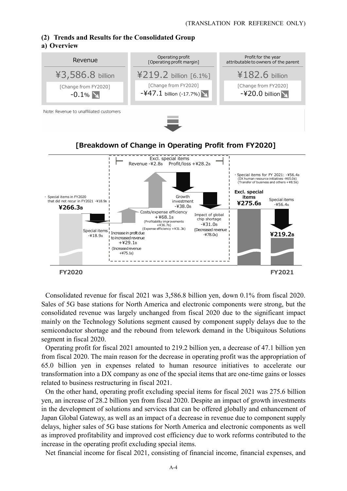# **(2) Trends and Results for the Consolidated Group**

#### **a) Overview**



Consolidated revenue for fiscal 2021 was 3,586.8 billion yen, down 0.1% from fiscal 2020. Sales of 5G base stations for North America and electronic components were strong, but the consolidated revenue was largely unchanged from fiscal 2020 due to the significant impact mainly on the Technology Solutions segment caused by component supply delays due to the semiconductor shortage and the rebound from telework demand in the Ubiquitous Solutions segment in fiscal 2020.

Operating profit for fiscal 2021 amounted to 219.2 billion yen, a decrease of 47.1 billion yen from fiscal 2020. The main reason for the decrease in operating profit was the appropriation of 65.0 billion yen in expenses related to human resource initiatives to accelerate our transformation into a DX company as one of the special items that are one-time gains or losses related to business restructuring in fiscal 2021.

On the other hand, operating profit excluding special items for fiscal 2021 was 275.6 billion yen, an increase of 28.2 billion yen from fiscal 2020. Despite an impact of growth investments in the development of solutions and services that can be offered globally and enhancement of Japan Global Gateway, as well as an impact of a decrease in revenue due to component supply delays, higher sales of 5G base stations for North America and electronic components as well as improved profitability and improved cost efficiency due to work reforms contributed to the increase in the operating profit excluding special items.

Net financial income for fiscal 2021, consisting of financial income, financial expenses, and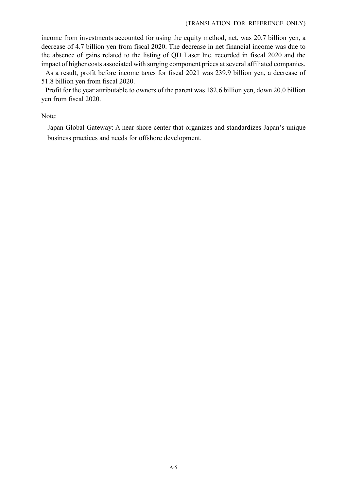#### (TRANSLATION FOR REFERENCE ONLY)

income from investments accounted for using the equity method, net, was 20.7 billion yen, a decrease of 4.7 billion yen from fiscal 2020. The decrease in net financial income was due to the absence of gains related to the listing of QD Laser Inc. recorded in fiscal 2020 and the impact of higher costs associated with surging component prices at several affiliated companies.

As a result, profit before income taxes for fiscal 2021 was 239.9 billion yen, a decrease of 51.8 billion yen from fiscal 2020.

Profit for the year attributable to owners of the parent was 182.6 billion yen, down 20.0 billion yen from fiscal 2020.

Note:

Japan Global Gateway: A near-shore center that organizes and standardizes Japan's unique business practices and needs for offshore development.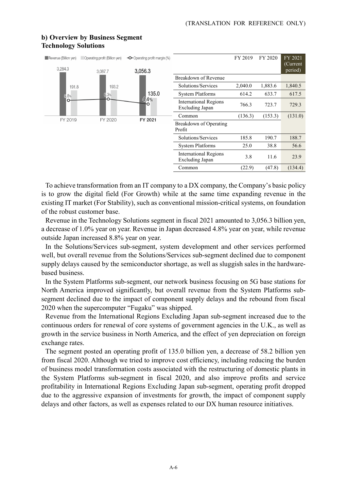#### Revenue (Billion yen) Operating profit (Billion yen) -O-Operating profit margin (%) FY 2019 FY 2020 FY 2021 (Current 3.284.3 period) 3,056.3 3.087.7 Breakdown of Revenue Solutions/Services 2,040.0 1,883.6 1,840.5 191.8 193.2 135.0 System Platforms 614.2 633.7 617.5  $.8%$ 4.4%  $\mathbf C$ International Regions Excluding Japan 766.3 723.7 729.3 Common (136.3) (153.3) (131.0) FY 2019 FY 2020 FY 2021 Breakdown of Operating Profit Solutions/Services 185.8 190.7 188.7 System Platforms 25.0 38.8 56.6 International Regions Excluding Japan 3.8 11.6 23.9 Common (22.9) (47.8) (134.4)

#### **b) Overview by Business Segment Technology Solutions**

To achieve transformation from an IT company to a DX company, the Company's basic policy is to grow the digital field (For Growth) while at the same time expanding revenue in the existing IT market (For Stability), such as conventional mission-critical systems, on foundation of the robust customer base.

Revenue in the Technology Solutions segment in fiscal 2021 amounted to 3,056.3 billion yen, a decrease of 1.0% year on year. Revenue in Japan decreased 4.8% year on year, while revenue outside Japan increased 8.8% year on year.

In the Solutions/Services sub-segment, system development and other services performed well, but overall revenue from the Solutions/Services sub-segment declined due to component supply delays caused by the semiconductor shortage, as well as sluggish sales in the hardwarebased business.

In the System Platforms sub-segment, our network business focusing on 5G base stations for North America improved significantly, but overall revenue from the System Platforms subsegment declined due to the impact of component supply delays and the rebound from fiscal 2020 when the supercomputer "Fugaku" was shipped.

Revenue from the International Regions Excluding Japan sub-segment increased due to the continuous orders for renewal of core systems of government agencies in the U.K., as well as growth in the service business in North America, and the effect of yen depreciation on foreign exchange rates.

The segment posted an operating profit of 135.0 billion yen, a decrease of 58.2 billion yen from fiscal 2020. Although we tried to improve cost efficiency, including reducing the burden of business model transformation costs associated with the restructuring of domestic plants in the System Platforms sub-segment in fiscal 2020, and also improve profits and service profitability in International Regions Excluding Japan sub-segment, operating profit dropped due to the aggressive expansion of investments for growth, the impact of component supply delays and other factors, as well as expenses related to our DX human resource initiatives.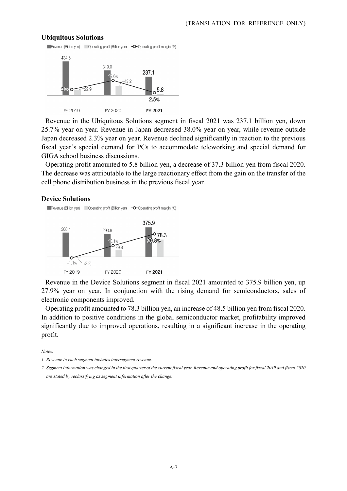#### **Ubiquitous Solutions**



Revenue in the Ubiquitous Solutions segment in fiscal 2021 was 237.1 billion yen, down 25.7% year on year. Revenue in Japan decreased 38.0% year on year, while revenue outside Japan decreased 2.3% year on year. Revenue declined significantly in reaction to the previous fiscal year's special demand for PCs to accommodate teleworking and special demand for GIGA school business discussions.

Operating profit amounted to 5.8 billion yen, a decrease of 37.3 billion yen from fiscal 2020. The decrease was attributable to the large reactionary effect from the gain on the transfer of the cell phone distribution business in the previous fiscal year.

#### **Device Solutions**

 $-1.1%$ 

FY 2019

 $(3.2)$ 



FY 2020

Revenue in the Device Solutions segment in fiscal 2021 amounted to 375.9 billion yen, up 27.9% year on year. In conjunction with the rising demand for semiconductors, sales of electronic components improved.

FY 2021

Operating profit amounted to 78.3 billion yen, an increase of 48.5 billion yen from fiscal 2020. In addition to positive conditions in the global semiconductor market, profitability improved significantly due to improved operations, resulting in a significant increase in the operating profit.

*Notes:* 

*2. Segment information was changed in the first quarter of the current fiscal year. Revenue and operating profit for fiscal 2019 and fiscal 2020 are stated by reclassifying as segment information after the change.* 

*<sup>1.</sup> Revenue in each segment includes intersegment revenue.*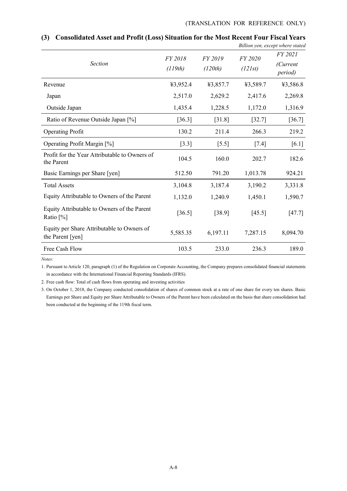|                                                                |                    |                    |                    | Button yen, except micre stated        |
|----------------------------------------------------------------|--------------------|--------------------|--------------------|----------------------------------------|
| <b>Section</b>                                                 | FY 2018<br>(119th) | FY 2019<br>(120th) | FY 2020<br>(121st) | FY 2021<br>(Current<br><i>period</i> ) |
| Revenue                                                        | ¥3,952.4           | ¥3,857.7           | ¥3,589.7           | ¥3,586.8                               |
| Japan                                                          | 2,517.0            | 2,629.2            | 2,417.6            | 2,269.8                                |
| Outside Japan                                                  | 1,435.4            | 1,228.5            | 1,172.0            | 1,316.9                                |
| Ratio of Revenue Outside Japan [%]                             | [36.3]             | [31.8]             | [32.7]             | $[36.7]$                               |
| <b>Operating Profit</b>                                        | 130.2              | 211.4              | 266.3              | 219.2                                  |
| Operating Profit Margin [%]                                    | $[3.3]$            | $[5.5]$            | $[7.4]$            | $[6.1]$                                |
| Profit for the Year Attributable to Owners of<br>the Parent    | 104.5              | 160.0              | 202.7              | 182.6                                  |
| Basic Earnings per Share [yen]                                 | 512.50             | 791.20             | 1,013.78           | 924.21                                 |
| <b>Total Assets</b>                                            | 3,104.8            | 3,187.4            | 3,190.2            | 3,331.8                                |
| Equity Attributable to Owners of the Parent                    | 1,132.0            | 1,240.9            | 1,450.1            | 1,590.7                                |
| Equity Attributable to Owners of the Parent<br>Ratio $[\%]$    | [36.5]             | [38.9]             | [45.5]             | [47.7]                                 |
| Equity per Share Attributable to Owners of<br>the Parent [yen] | 5,585.35           | 6,197.11           | 7,287.15           | 8,094.70                               |
| Free Cash Flow                                                 | 103.5              | 233.0              | 236.3              | 189.0                                  |

#### **(3) Consolidated Asset and Profit (Loss) Situation for the Most Recent Four Fiscal Years**  *Billion yen, except where stated*

*Notes:*

1. Pursuant to Article 120, paragraph (1) of the Regulation on Corporate Accounting, the Company prepares consolidated financial statements in accordance with the International Financial Reporting Standards (IFRS).

2. Free cash flow: Total of cash flows from operating and investing activities

3. On October 1, 2018, the Company conducted consolidation of shares of common stock at a rate of one share for every ten shares. Basic Earnings per Share and Equity per Share Attributable to Owners of the Parent have been calculated on the basis that share consolidation had been conducted at the beginning of the 119th fiscal term.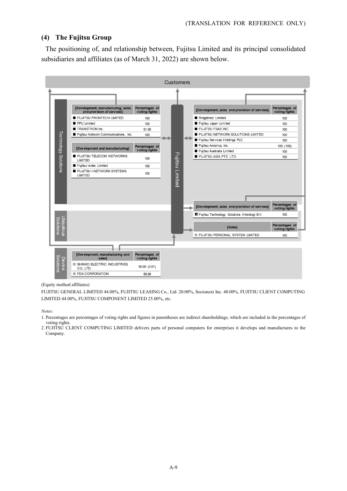#### **(4) The Fujitsu Group**

The positioning of, and relationship between, Fujitsu Limited and its principal consolidated subsidiaries and affiliates (as of March 31, 2022) are shown below.



#### (Equity method affiliates)

FUJITSU GENERAL LIMITED 44.08%, FUJITSU LEASING Co., Ltd. 20.00%, Socionext Inc. 40.00%, FUJITSU CLIENT COMPUTING LIMITED 44.00%, FUJITSU COMPONENT LIMITED 25.00%, etc.

*Notes:* 

- 1. Percentages are percentages of voting rights and figures in parentheses are indirect shareholdings, which are included in the percentages of voting rights.
- 2. FUJITSU CLIENT COMPUTING LIMITED delivers parts of personal computers for enterprises it develops and manufactures to the Company.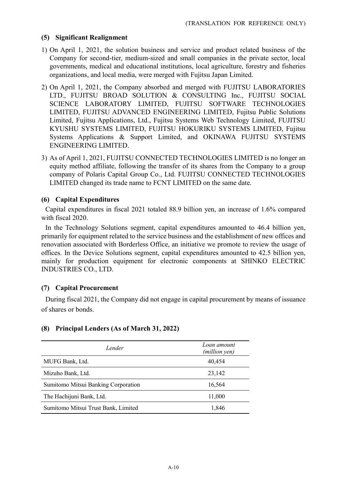#### **(5) Significant Realignment**

- 1) On April 1, 2021, the solution business and service and product related business of the Company for second-tier, medium-sized and small companies in the private sector, local governments, medical and educational institutions, local agriculture, forestry and fisheries organizations, and local media, were merged with Fujitsu Japan Limited.
- 2) On April 1, 2021, the Company absorbed and merged with FUJITSU LABORATORIES LTD., FUJITSU BROAD SOLUTION & CONSULTING Inc., FUJITSU SOCIAL SCIENCE LABORATORY LIMITED, FUJITSU SOFTWARE TECHNOLOGIES LIMITED, FUJITSU ADVANCED ENGINEERING LIMITED, Fujitsu Public Solutions Limited, Fujitsu Applications, Ltd., Fujitsu Systems Web Technology Limited, FUJITSU KYUSHU SYSTEMS LIMITED, FUJITSU HOKURIKU SYSTEMS LIMITED, Fujitsu Systems Applications & Support Limited, and OKINAWA FUJITSU SYSTEMS ENGINEERING LIMITED.
- 3) As of April 1, 2021, FUJITSU CONNECTED TECHNOLOGIES LIMITED is no longer an equity method affiliate, following the transfer of its shares from the Company to a group company of Polaris Capital Group Co., Ltd. FUJITSU CONNECTED TECHNOLOGIES LIMITED changed its trade name to FCNT LIMITED on the same date.

#### **(6) Capital Expenditures**

Capital expenditures in fiscal 2021 totaled 88.9 billion yen, an increase of 1.6% compared with fiscal 2020.

In the Technology Solutions segment, capital expenditures amounted to 46.4 billion yen, primarily for equipment related to the service business and the establishment of new offices and renovation associated with Borderless Office, an initiative we promote to review the usage of offices. In the Device Solutions segment, capital expenditures amounted to 42.5 billion yen, mainly for production equipment for electronic components at SHINKO ELECTRIC INDUSTRIES CO., LTD.

#### **(7) Capital Procurement**

During fiscal 2021, the Company did not engage in capital procurement by means of issuance of shares or bonds.

#### **(8) Principal Lenders (As of March 31, 2022)**

| Lender                              | Loan amount<br>(million yen) |
|-------------------------------------|------------------------------|
| MUFG Bank, Ltd.                     | 40,454                       |
| Mizuho Bank, Ltd.                   | 23,142                       |
| Sumitomo Mitsui Banking Corporation | 16,564                       |
| The Hachijuni Bank, Ltd.            | 11,000                       |
| Sumitomo Mitsui Trust Bank, Limited | 1.846                        |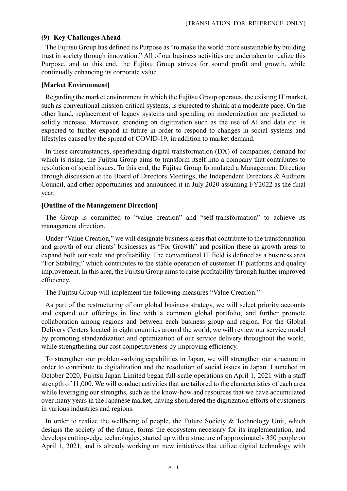#### **(9) Key Challenges Ahead**

The Fujitsu Group has defined its Purpose as "to make the world more sustainable by building trust in society through innovation." All of our business activities are undertaken to realize this Purpose, and to this end, the Fujitsu Group strives for sound profit and growth, while continually enhancing its corporate value.

#### **[Market Environment]**

Regarding the market environment in which the Fujitsu Group operates, the existing IT market, such as conventional mission-critical systems, is expected to shrink at a moderate pace. On the other hand, replacement of legacy systems and spending on modernization are predicted to solidly increase. Moreover, spending on digitization such as the use of AI and data etc. is expected to further expand in future in order to respond to changes in social systems and lifestyles caused by the spread of COVID-19, in addition to market demand.

In these circumstances, spearheading digital transformation (DX) of companies, demand for which is rising, the Fujitsu Group aims to transform itself into a company that contributes to resolution of social issues. To this end, the Fujitsu Group formulated a Management Direction through discussion at the Board of Directors Meetings, the Independent Directors & Auditors Council, and other opportunities and announced it in July 2020 assuming FY2022 as the final year.

#### **[Outline of the Management Direction]**

The Group is committed to "value creation" and "self-transformation" to achieve its management direction.

Under "Value Creation," we will designate business areas that contribute to the transformation and growth of our clients' businesses as "For Growth" and position these as growth areas to expand both our scale and profitability. The conventional IT field is defined as a business area "For Stability," which contributes to the stable operation of customer IT platforms and quality improvement. In this area, the Fujitsu Group aims to raise profitability through further improved efficiency.

The Fujitsu Group will implement the following measures "Value Creation."

As part of the restructuring of our global business strategy, we will select priority accounts and expand our offerings in line with a common global portfolio, and further promote collaboration among regions and between each business group and region. For the Global Delivery Centers located in eight countries around the world, we will review our service model by promoting standardization and optimization of our service delivery throughout the world, while strengthening our cost competitiveness by improving efficiency.

To strengthen our problem-solving capabilities in Japan, we will strengthen our structure in order to contribute to digitalization and the resolution of social issues in Japan. Launched in October 2020, Fujitsu Japan Limited began full-scale operations on April 1, 2021 with a staff strength of 11,000. We will conduct activities that are tailored to the characteristics of each area while leveraging our strengths, such as the know-how and resources that we have accumulated over many years in the Japanese market, having shouldered the digitization efforts of customers in various industries and regions.

In order to realize the wellbeing of people, the Future Society & Technology Unit, which designs the society of the future, forms the ecosystem necessary for its implementation, and develops cutting-edge technologies, started up with a structure of approximately 350 people on April 1, 2021, and is already working on new initiatives that utilize digital technology with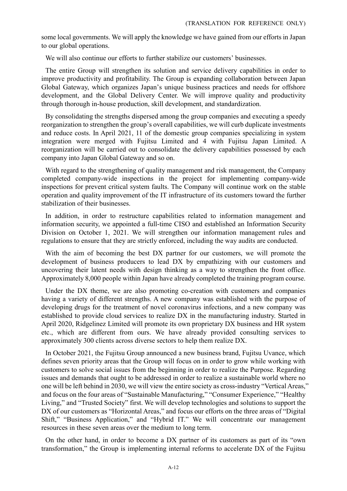some local governments. We will apply the knowledge we have gained from our efforts in Japan to our global operations.

We will also continue our efforts to further stabilize our customers' businesses.

The entire Group will strengthen its solution and service delivery capabilities in order to improve productivity and profitability. The Group is expanding collaboration between Japan Global Gateway, which organizes Japan's unique business practices and needs for offshore development, and the Global Delivery Center. We will improve quality and productivity through thorough in-house production, skill development, and standardization.

By consolidating the strengths dispersed among the group companies and executing a speedy reorganization to strengthen the group's overall capabilities, we will curb duplicate investments and reduce costs. In April 2021, 11 of the domestic group companies specializing in system integration were merged with Fujitsu Limited and 4 with Fujitsu Japan Limited. A reorganization will be carried out to consolidate the delivery capabilities possessed by each company into Japan Global Gateway and so on.

With regard to the strengthening of quality management and risk management, the Company completed company-wide inspections in the project for implementing company-wide inspections for prevent critical system faults. The Company will continue work on the stable operation and quality improvement of the IT infrastructure of its customers toward the further stabilization of their businesses.

In addition, in order to restructure capabilities related to information management and information security, we appointed a full-time CISO and established an Information Security Division on October 1, 2021. We will strengthen our information management rules and regulations to ensure that they are strictly enforced, including the way audits are conducted.

With the aim of becoming the best DX partner for our customers, we will promote the development of business producers to lead DX by empathizing with our customers and uncovering their latent needs with design thinking as a way to strengthen the front office. Approximately 8,000 people within Japan have already completed the training program course.

Under the DX theme, we are also promoting co-creation with customers and companies having a variety of different strengths. A new company was established with the purpose of developing drugs for the treatment of novel coronavirus infections, and a new company was established to provide cloud services to realize DX in the manufacturing industry. Started in April 2020, Ridgelinez Limited will promote its own proprietary DX business and HR system etc., which are different from ours. We have already provided consulting services to approximately 300 clients across diverse sectors to help them realize DX.

In October 2021, the Fujitsu Group announced a new business brand, Fujitsu Uvance, which defines seven priority areas that the Group will focus on in order to grow while working with customers to solve social issues from the beginning in order to realize the Purpose. Regarding issues and demands that ought to be addressed in order to realize a sustainable world where no one will be left behind in 2030, we will view the entire society as cross-industry "Vertical Areas," and focus on the four areas of "Sustainable Manufacturing," "Consumer Experience," "Healthy Living," and "Trusted Society" first. We will develop technologies and solutions to support the DX of our customers as "Horizontal Areas," and focus our efforts on the three areas of "Digital Shift," "Business Application," and "Hybrid IT." We will concentrate our management resources in these seven areas over the medium to long term.

On the other hand, in order to become a DX partner of its customers as part of its "own transformation," the Group is implementing internal reforms to accelerate DX of the Fujitsu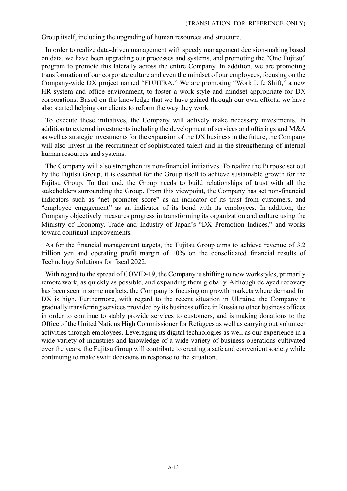Group itself, including the upgrading of human resources and structure.

In order to realize data-driven management with speedy management decision-making based on data, we have been upgrading our processes and systems, and promoting the "One Fujitsu" program to promote this laterally across the entire Company. In addition, we are promoting transformation of our corporate culture and even the mindset of our employees, focusing on the Company-wide DX project named "FUJITRA." We are promoting "Work Life Shift," a new HR system and office environment, to foster a work style and mindset appropriate for DX corporations. Based on the knowledge that we have gained through our own efforts, we have also started helping our clients to reform the way they work.

To execute these initiatives, the Company will actively make necessary investments. In addition to external investments including the development of services and offerings and M&A as well as strategic investments for the expansion of the DX business in the future, the Company will also invest in the recruitment of sophisticated talent and in the strengthening of internal human resources and systems.

The Company will also strengthen its non-financial initiatives. To realize the Purpose set out by the Fujitsu Group, it is essential for the Group itself to achieve sustainable growth for the Fujitsu Group. To that end, the Group needs to build relationships of trust with all the stakeholders surrounding the Group. From this viewpoint, the Company has set non-financial indicators such as "net promoter score" as an indicator of its trust from customers, and "employee engagement" as an indicator of its bond with its employees. In addition, the Company objectively measures progress in transforming its organization and culture using the Ministry of Economy, Trade and Industry of Japan's "DX Promotion Indices," and works toward continual improvements.

As for the financial management targets, the Fujitsu Group aims to achieve revenue of 3.2 trillion yen and operating profit margin of 10% on the consolidated financial results of Technology Solutions for fiscal 2022.

With regard to the spread of COVID-19, the Company is shifting to new workstyles, primarily remote work, as quickly as possible, and expanding them globally. Although delayed recovery has been seen in some markets, the Company is focusing on growth markets where demand for DX is high. Furthermore, with regard to the recent situation in Ukraine, the Company is gradually transferring services provided by its business office in Russia to other business offices in order to continue to stably provide services to customers, and is making donations to the Office of the United Nations High Commissioner for Refugees as well as carrying out volunteer activities through employees. Leveraging its digital technologies as well as our experience in a wide variety of industries and knowledge of a wide variety of business operations cultivated over the years, the Fujitsu Group will contribute to creating a safe and convenient society while continuing to make swift decisions in response to the situation.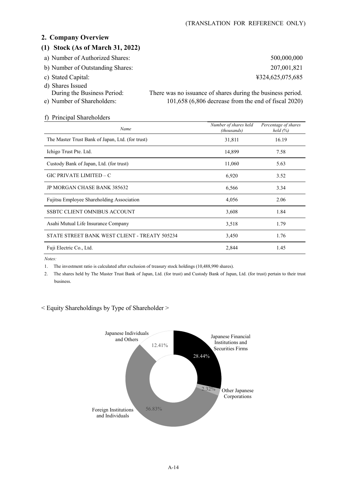#### **2. Company Overview**

#### **(1) Stock (As of March 31, 2022)**

- a) Number of Authorized Shares: 500,000,000 500,000,000
- b) Number of Outstanding Shares: 207,001,821
- 
- d) Shares Issued
- 
- During the Business Period: There was no issuance of shares during the business period. e) Number of Shareholders: 101,658 (6,806 decrease from the end of fiscal 2020)

| f) Principal Shareholders                        |                                      |                                    |
|--------------------------------------------------|--------------------------------------|------------------------------------|
| Name                                             | Number of shares held<br>(thousands) | Percentage of shares<br>held $(%)$ |
| The Master Trust Bank of Japan, Ltd. (for trust) | 31,811                               | 16.19                              |
| Ichigo Trust Pte. Ltd.                           | 14,899                               | 7.58                               |
| Custody Bank of Japan, Ltd. (for trust)          | 11,060                               | 5.63                               |
| GIC PRIVATE LIMITED – C                          | 6,920                                | 3.52                               |
| <b>JP MORGAN CHASE BANK 385632</b>               | 6,566                                | 3.34                               |
| <b>Fujitsu Employee Shareholding Association</b> | 4,056                                | 2.06                               |
| SSBTC CLIENT OMNIBUS ACCOUNT                     | 3,608                                | 1.84                               |
| Asahi Mutual Life Insurance Company              | 3,518                                | 1.79                               |
| STATE STREET BANK WEST CLIENT - TREATY 505234    | 3,450                                | 1.76                               |
| Fuji Electric Co., Ltd.                          | 2,844                                | 1.45                               |

*Notes:* 

1. The investment ratio is calculated after exclusion of treasury stock holdings (10,488,990 shares).

2. The shares held by The Master Trust Bank of Japan, Ltd. (for trust) and Custody Bank of Japan, Ltd. (for trust) pertain to their trust business.

< Equity Shareholdings by Type of Shareholder >



c) Stated Capital: ¥324,625,075,685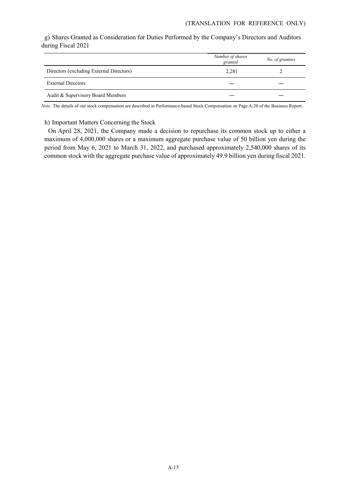#### g) Shares Granted as Consideration for Duties Performed by the Company's Directors and Auditors during Fiscal 2021

|                                          | Number of shares<br>granted | No. of grantees |
|------------------------------------------|-----------------------------|-----------------|
| Directors (excluding External Directors) | 2,281                       |                 |
| <b>External Directors</b>                |                             |                 |
| Audit & Supervisory Board Members        |                             |                 |

*Note:* The details of our stock compensation are described in Performance-based Stock Compensation on Page A-20 of the Business Report.

#### h) Important Matters Concerning the Stock

On April 28, 2021, the Company made a decision to repurchase its common stock up to either a maximum of 4,000,000 shares or a maximum aggregate purchase value of 50 billion yen during the period from May 6, 2021 to March 31, 2022, and purchased approximately 2,540,000 shares of its common stock with the aggregate purchase value of approximately 49.9 billion yen during fiscal 2021.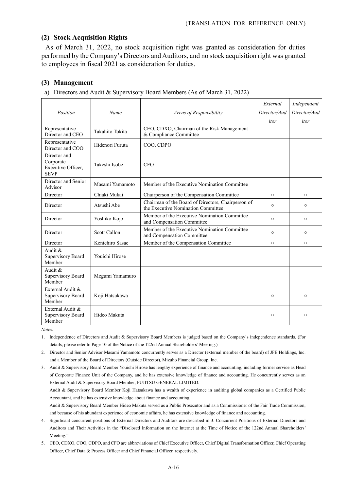#### **(2) Stock Acquisition Rights**

As of March 31, 2022, no stock acquisition right was granted as consideration for duties performed by the Company's Directors and Auditors, and no stock acquisition right was granted to employees in fiscal 2021 as consideration for duties.

#### **(3) Management**

a) Directors and Audit & Supervisory Board Members (As of March 31, 2022)

| Position                                                       | Name            | Areas of Responsibility                                                                  | External<br>Director/Aud<br>itor | Independent<br>Director/Aud<br>itor |
|----------------------------------------------------------------|-----------------|------------------------------------------------------------------------------------------|----------------------------------|-------------------------------------|
| Representative<br>Director and CEO                             | Takahito Tokita | CEO, CDXO, Chairman of the Risk Management<br>& Compliance Committee                     |                                  |                                     |
| Representative<br>Director and COO                             | Hidenori Furuta | COO, CDPO                                                                                |                                  |                                     |
| Director and<br>Corporate<br>Executive Officer,<br><b>SEVP</b> | Takeshi Isobe   | <b>CFO</b>                                                                               |                                  |                                     |
| Director and Senior<br>Advisor                                 | Masami Yamamoto | Member of the Executive Nomination Committee                                             |                                  |                                     |
| Director                                                       | Chiaki Mukai    | Chairperson of the Compensation Committee                                                | $\circ$                          | $\circ$                             |
| Director                                                       | Atsushi Abe     | Chairman of the Board of Directors, Chairperson of<br>the Executive Nomination Committee | $\circ$                          | $\circ$                             |
| Director                                                       | Yoshiko Kojo    | Member of the Executive Nomination Committee<br>and Compensation Committee               | $\circ$                          | $\circ$                             |
| Director                                                       | Scott Callon    | Member of the Executive Nomination Committee<br>and Compensation Committee               | $\circ$                          | $\circ$                             |
| Director                                                       | Kenichiro Sasae | Member of the Compensation Committee                                                     | $\circ$                          | $\circ$                             |
| Audit &<br>Supervisory Board<br>Member                         | Youichi Hirose  |                                                                                          |                                  |                                     |
| Audit &<br>Supervisory Board<br>Member                         | Megumi Yamamuro |                                                                                          |                                  |                                     |
| External Audit &<br>Supervisory Board<br>Member                | Koji Hatsukawa  |                                                                                          | $\circ$                          | $\circ$                             |
| External Audit &<br>Supervisory Board<br>Member                | Hideo Makuta    |                                                                                          | $\circ$                          | O                                   |

*Notes:* 

1. Independence of Directors and Audit & Supervisory Board Members is judged based on the Company's independence standards. (For details, please refer to Page 10 of the Notice of the 122nd Annual Shareholders' Meeting.)

2. Director and Senior Advisor Masami Yamamoto concurrently serves as a Director (external member of the board) of JFE Holdings, Inc. and a Member of the Board of Directors (Outside Director), Mizuho Financial Group, Inc.

3. Audit & Supervisory Board Member Youichi Hirose has lengthy experience of finance and accounting, including former service as Head of Corporate Finance Unit of the Company, and he has extensive knowledge of finance and accounting. He concurrently serves as an External Audit & Supervisory Board Member, FUJITSU GENERAL LIMITED.

Audit & Supervisory Board Member Koji Hatsukawa has a wealth of experience in auditing global companies as a Certified Public Accountant, and he has extensive knowledge about finance and accounting.

Audit & Supervisory Board Member Hideo Makuta served as a Public Prosecutor and as a Commissioner of the Fair Trade Commission, and because of his abundant experience of economic affairs, he has extensive knowledge of finance and accounting.

4. Significant concurrent positions of External Directors and Auditors are described in 3. Concurrent Positions of External Directors and Auditors and Their Activities in the "Disclosed Information on the Internet at the Time of Notice of the 122nd Annual Shareholders' Meeting."

5. CEO, CDXO, COO, CDPO, and CFO are abbreviations of Chief Executive Officer, Chief Digital Transformation Officer, Chief Operating Officer, Chief Data & Process Officer and Chief Financial Officer, respectively.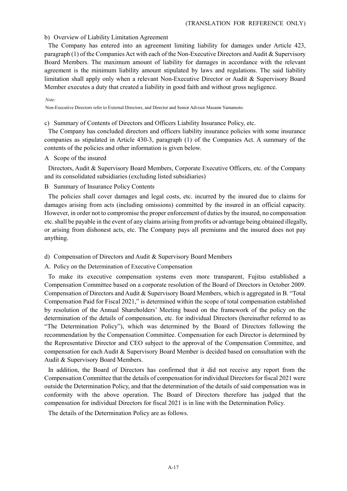#### b) Overview of Liability Limitation Agreement

The Company has entered into an agreement limiting liability for damages under Article 423, paragraph (1) of the Companies Act with each of the Non-Executive Directors and Audit & Supervisory Board Members. The maximum amount of liability for damages in accordance with the relevant agreement is the minimum liability amount stipulated by laws and regulations. The said liability limitation shall apply only when a relevant Non-Executive Director or Audit & Supervisory Board Member executes a duty that created a liability in good faith and without gross negligence.

#### *Note:*

Non-Executive Directors refer to External Directors, and Director and Senior Advisor Masami Yamamoto.

#### c) Summary of Contents of Directors and Officers Liability Insurance Policy, etc.

The Company has concluded directors and officers liability insurance policies with some insurance companies as stipulated in Article 430-3, paragraph (1) of the Companies Act. A summary of the contents of the policies and other information is given below.

#### A Scope of the insured

Directors, Audit & Supervisory Board Members, Corporate Executive Officers, etc. of the Company and its consolidated subsidiaries (excluding listed subsidiaries)

#### B Summary of Insurance Policy Contents

The policies shall cover damages and legal costs, etc. incurred by the insured due to claims for damages arising from acts (including omissions) committed by the insured in an official capacity. However, in order not to compromise the proper enforcement of duties by the insured, no compensation etc. shall be payable in the event of any claims arising from profits or advantage being obtained illegally, or arising from dishonest acts, etc. The Company pays all premiums and the insured does not pay anything.

#### d) Compensation of Directors and Audit & Supervisory Board Members

#### A. Policy on the Determination of Executive Compensation

To make its executive compensation systems even more transparent, Fujitsu established a Compensation Committee based on a corporate resolution of the Board of Directors in October 2009. Compensation of Directors and Audit & Supervisory Board Members, which is aggregated in B. "Total Compensation Paid for Fiscal 2021," is determined within the scope of total compensation established by resolution of the Annual Shareholders' Meeting based on the framework of the policy on the determination of the details of compensation, etc. for individual Directors (hereinafter referred to as "The Determination Policy"), which was determined by the Board of Directors following the recommendation by the Compensation Committee. Compensation for each Director is determined by the Representative Director and CEO subject to the approval of the Compensation Committee, and compensation for each Audit & Supervisory Board Member is decided based on consultation with the Audit & Supervisory Board Members.

In addition, the Board of Directors has confirmed that it did not receive any report from the Compensation Committee that the details of compensation for individual Directors for fiscal 2021 were outside the Determination Policy, and that the determination of the details of said compensation was in conformity with the above operation. The Board of Directors therefore has judged that the compensation for individual Directors for fiscal 2021 is in line with the Determination Policy.

The details of the Determination Policy are as follows.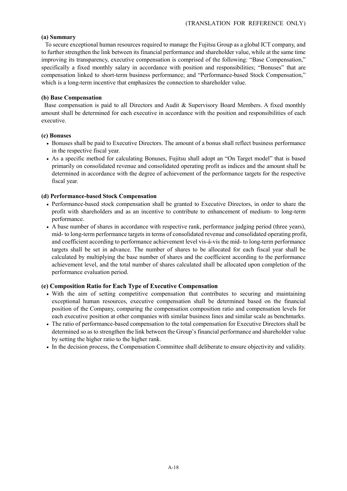#### **(a) Summary**

To secure exceptional human resources required to manage the Fujitsu Group as a global ICT company, and to further strengthen the link between its financial performance and shareholder value, while at the same time improving its transparency, executive compensation is comprised of the following: "Base Compensation," specifically a fixed monthly salary in accordance with position and responsibilities; "Bonuses" that are compensation linked to short-term business performance; and "Performance-based Stock Compensation," which is a long-term incentive that emphasizes the connection to shareholder value.

#### **(b) Base Compensation**

Base compensation is paid to all Directors and Audit & Supervisory Board Members. A fixed monthly amount shall be determined for each executive in accordance with the position and responsibilities of each executive.

#### **(c) Bonuses**

- Bonuses shall be paid to Executive Directors. The amount of a bonus shall reflect business performance in the respective fiscal year.
- As a specific method for calculating Bonuses, Fujitsu shall adopt an "On Target model" that is based primarily on consolidated revenue and consolidated operating profit as indices and the amount shall be determined in accordance with the degree of achievement of the performance targets for the respective fiscal year.

#### **(d) Performance-based Stock Compensation**

- Performance-based stock compensation shall be granted to Executive Directors, in order to share the profit with shareholders and as an incentive to contribute to enhancement of medium- to long-term performance.
- A base number of shares in accordance with respective rank, performance judging period (three years), mid- to long-term performance targets in terms of consolidated revenue and consolidated operating profit, and coefficient according to performance achievement level vis-à-vis the mid- to long-term performance targets shall be set in advance. The number of shares to be allocated for each fiscal year shall be calculated by multiplying the base number of shares and the coefficient according to the performance achievement level, and the total number of shares calculated shall be allocated upon completion of the performance evaluation period.

#### **(e) Composition Ratio for Each Type of Executive Compensation**

- With the aim of setting competitive compensation that contributes to securing and maintaining exceptional human resources, executive compensation shall be determined based on the financial position of the Company, comparing the compensation composition ratio and compensation levels for each executive position at other companies with similar business lines and similar scale as benchmarks.
- The ratio of performance-based compensation to the total compensation for Executive Directors shall be determined so as to strengthen the link between the Group's financial performance and shareholder value by setting the higher ratio to the higher rank.
- In the decision process, the Compensation Committee shall deliberate to ensure objectivity and validity.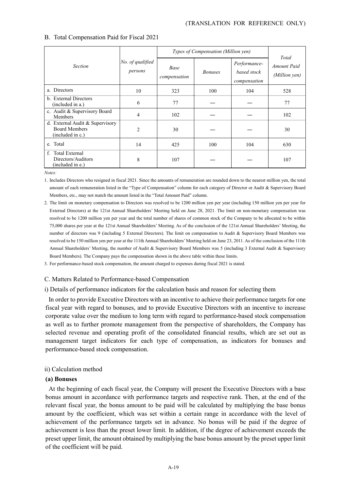|                                                                             |                             | Types of Compensation (Million yen) | Total          |                                             |                                     |
|-----------------------------------------------------------------------------|-----------------------------|-------------------------------------|----------------|---------------------------------------------|-------------------------------------|
| <b>Section</b>                                                              | No. of qualified<br>persons | Base<br>compensation                | <b>Bonuses</b> | Performance-<br>based stock<br>compensation | <b>Amount Paid</b><br>(Million yen) |
| a. Directors                                                                | 10                          | 323                                 | 100            | 104                                         | 528                                 |
| b. External Directors<br>(included in a.)                                   | 6                           | 77                                  |                |                                             | 77                                  |
| c. Audit & Supervisory Board<br>Members                                     | 4                           | 102                                 |                |                                             | 102                                 |
| d. External Audit & Supervisory<br><b>Board Members</b><br>(included in c.) | $\overline{2}$              | 30                                  |                |                                             | 30                                  |
| e. Total                                                                    | 14                          | 425                                 | 100            | 104                                         | 630                                 |
| f. Total External<br>Directors/Auditors<br>(included in e.)                 | 8                           | 107                                 |                |                                             | 107                                 |

#### B. Total Compensation Paid for Fiscal 2021

*Notes:* 

1. Includes Directors who resigned in fiscal 2021. Since the amounts of remuneration are rounded down to the nearest million yen, the total amount of each remuneration listed in the "Type of Compensation" column for each category of Director or Audit & Supervisory Board Members, etc., may not match the amount listed in the "Total Amount Paid" column.

2. The limit on monetary compensation to Directors was resolved to be 1200 million yen per year (including 150 million yen per year for External Directors) at the 121st Annual Shareholders' Meeting held on June 28, 2021. The limit on non-monetary compensation was resolved to be 1200 million yen per year and the total number of shares of common stock of the Company to be allocated to be within 75,000 shares per year at the 121st Annual Shareholders' Meeting. As of the conclusion of the 121st Annual Shareholders' Meeting, the number of directors was 9 (including 5 External Directors). The limit on compensation to Audit & Supervisory Board Members was resolved to be 150 million yen per year at the 111th Annual Shareholders' Meeting held on June 23, 2011. As of the conclusion of the 111th Annual Shareholders' Meeting, the number of Audit & Supervisory Board Members was 5 (including 3 External Audit & Supervisory Board Members). The Company pays the compensation shown in the above table within these limits.

3. For performance-based stock compensation, the amount charged to expenses during fiscal 2021 is stated.

C. Matters Related to Performance-based Compensation

i) Details of performance indicators for the calculation basis and reason for selecting them

In order to provide Executive Directors with an incentive to achieve their performance targets for one fiscal year with regard to bonuses, and to provide Executive Directors with an incentive to increase corporate value over the medium to long term with regard to performance-based stock compensation as well as to further promote management from the perspective of shareholders, the Company has selected revenue and operating profit of the consolidated financial results, which are set out as management target indicators for each type of compensation, as indicators for bonuses and performance-based stock compensation.

#### ii) Calculation method

#### **(a) Bonuses**

At the beginning of each fiscal year, the Company will present the Executive Directors with a base bonus amount in accordance with performance targets and respective rank. Then, at the end of the relevant fiscal year, the bonus amount to be paid will be calculated by multiplying the base bonus amount by the coefficient, which was set within a certain range in accordance with the level of achievement of the performance targets set in advance. No bonus will be paid if the degree of achievement is less than the preset lower limit. In addition, if the degree of achievement exceeds the preset upper limit, the amount obtained by multiplying the base bonus amount by the preset upper limit of the coefficient will be paid.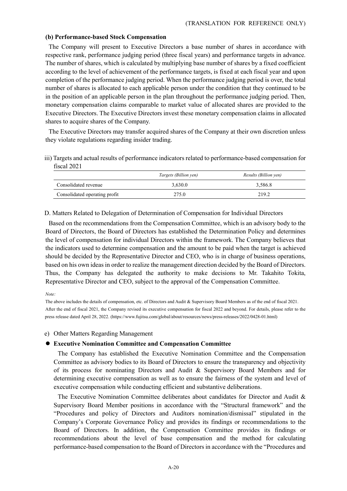#### **(b) Performance-based Stock Compensation**

The Company will present to Executive Directors a base number of shares in accordance with respective rank, performance judging period (three fiscal years) and performance targets in advance. The number of shares, which is calculated by multiplying base number of shares by a fixed coefficient according to the level of achievement of the performance targets, is fixed at each fiscal year and upon completion of the performance judging period. When the performance judging period is over, the total number of shares is allocated to each applicable person under the condition that they continued to be in the position of an applicable person in the plan throughout the performance judging period. Then, monetary compensation claims comparable to market value of allocated shares are provided to the Executive Directors. The Executive Directors invest these monetary compensation claims in allocated shares to acquire shares of the Company.

The Executive Directors may transfer acquired shares of the Company at their own discretion unless they violate regulations regarding insider trading.

iii) Targets and actual results of performance indicators related to performance-based compensation for fiscal 2021

|                               | <i>Targets (Billion yen)</i> | Results (Billion yen) |
|-------------------------------|------------------------------|-----------------------|
| Consolidated revenue          | 3.630.0                      | 3.586.8               |
| Consolidated operating profit | 275.0                        | 219.2                 |

D. Matters Related to Delegation of Determination of Compensation for Individual Directors

Based on the recommendations from the Compensation Committee, which is an advisory body to the Board of Directors, the Board of Directors has established the Determination Policy and determines the level of compensation for individual Directors within the framework. The Company believes that the indicators used to determine compensation and the amount to be paid when the target is achieved should be decided by the Representative Director and CEO, who is in charge of business operations, based on his own ideas in order to realize the management direction decided by the Board of Directors. Thus, the Company has delegated the authority to make decisions to Mr. Takahito Tokita, Representative Director and CEO, subject to the approval of the Compensation Committee.

#### *Note:*

The above includes the details of compensation, etc. of Directors and Audit & Supervisory Board Members as of the end of fiscal 2021. After the end of fiscal 2021, the Company revised its executive compensation for fiscal 2022 and beyond. For details, please refer to the press release dated April 28, 2022. (https://www.fujitsu.com/global/about/resources/news/press-releases/2022/0428-01.html)

e) Other Matters Regarding Management

#### **Executive Nomination Committee and Compensation Committee**

The Company has established the Executive Nomination Committee and the Compensation Committee as advisory bodies to its Board of Directors to ensure the transparency and objectivity of its process for nominating Directors and Audit & Supervisory Board Members and for determining executive compensation as well as to ensure the fairness of the system and level of executive compensation while conducting efficient and substantive deliberations.

The Executive Nomination Committee deliberates about candidates for Director and Audit & Supervisory Board Member positions in accordance with the "Structural framework" and the "Procedures and policy of Directors and Auditors nomination/dismissal" stipulated in the Company's Corporate Governance Policy and provides its findings or recommendations to the Board of Directors. In addition, the Compensation Committee provides its findings or recommendations about the level of base compensation and the method for calculating performance-based compensation to the Board of Directors in accordance with the "Procedures and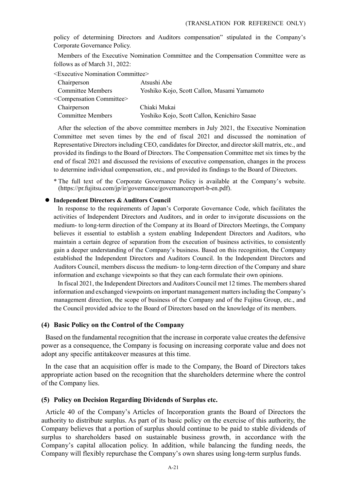policy of determining Directors and Auditors compensation" stipulated in the Company's Corporate Governance Policy.

Members of the Executive Nomination Committee and the Compensation Committee were as follows as of March 31, 2022:

<Executive Nomination Committee>

| Chairperson                                | Atsushi Abe                                 |
|--------------------------------------------|---------------------------------------------|
| <b>Committee Members</b>                   | Yoshiko Kojo, Scott Callon, Masami Yamamoto |
| <compensation committee=""></compensation> |                                             |
| Chairperson                                | Chiaki Mukai                                |
| <b>Committee Members</b>                   | Yoshiko Kojo, Scott Callon, Kenichiro Sasae |

After the selection of the above committee members in July 2021, the Executive Nomination Committee met seven times by the end of fiscal 2021 and discussed the nomination of Representative Directors including CEO, candidates for Director, and director skill matrix, etc., and provided its findings to the Board of Directors. The Compensation Committee met six times by the end of fiscal 2021 and discussed the revisions of executive compensation, changes in the process to determine individual compensation, etc., and provided its findings to the Board of Directors.

\* The full text of the Corporate Governance Policy is available at the Company's website. (https://pr.fujitsu.com/jp/ir/governance/governancereport-b-en.pdf).

#### **Independent Directors & Auditors Council**

In response to the requirements of Japan's Corporate Governance Code, which facilitates the activities of Independent Directors and Auditors, and in order to invigorate discussions on the medium- to long-term direction of the Company at its Board of Directors Meetings, the Company believes it essential to establish a system enabling Independent Directors and Auditors, who maintain a certain degree of separation from the execution of business activities, to consistently gain a deeper understanding of the Company's business. Based on this recognition, the Company established the Independent Directors and Auditors Council. In the Independent Directors and Auditors Council, members discuss the medium- to long-term direction of the Company and share information and exchange viewpoints so that they can each formulate their own opinions.

In fiscal 2021, the Independent Directors and Auditors Council met 12 times. The members shared information and exchanged viewpoints on important management matters including the Company's management direction, the scope of business of the Company and of the Fujitsu Group, etc., and the Council provided advice to the Board of Directors based on the knowledge of its members.

#### **(4) Basic Policy on the Control of the Company**

Based on the fundamental recognition that the increase in corporate value creates the defensive power as a consequence, the Company is focusing on increasing corporate value and does not adopt any specific antitakeover measures at this time.

In the case that an acquisition offer is made to the Company, the Board of Directors takes appropriate action based on the recognition that the shareholders determine where the control of the Company lies.

#### **(5) Policy on Decision Regarding Dividends of Surplus etc.**

Article 40 of the Company's Articles of Incorporation grants the Board of Directors the authority to distribute surplus. As part of its basic policy on the exercise of this authority, the Company believes that a portion of surplus should continue to be paid to stable dividends of surplus to shareholders based on sustainable business growth, in accordance with the Company's capital allocation policy. In addition, while balancing the funding needs, the Company will flexibly repurchase the Company's own shares using long-term surplus funds.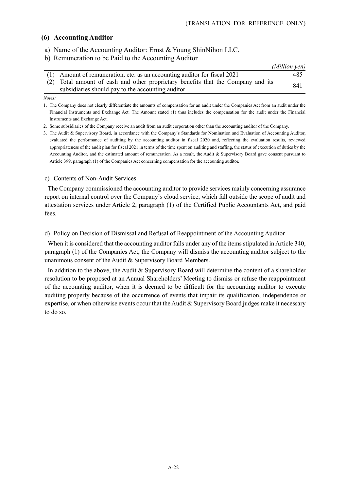#### **(6) Accounting Auditor**

- a) Name of the Accounting Auditor: Ernst & Young ShinNihon LLC.
- b) Remuneration to be Paid to the Accounting Auditor

|                                                                                  | (Million yen) |
|----------------------------------------------------------------------------------|---------------|
| (1) Amount of remuneration, etc. as an accounting auditor for fiscal 2021        | 485           |
| (2) Total amount of cash and other proprietary benefits that the Company and its | 841           |
| subsidiaries should pay to the accounting auditor                                |               |

#### *Notes:*

1. The Company does not clearly differentiate the amounts of compensation for an audit under the Companies Act from an audit under the Financial Instruments and Exchange Act. The Amount stated (1) thus includes the compensation for the audit under the Financial Instruments and Exchange Act.

2. Some subsidiaries of the Company receive an audit from an audit corporation other than the accounting auditor of the Company.

3. The Audit & Supervisory Board, in accordance with the Company's Standards for Nomination and Evaluation of Accounting Auditor, evaluated the performance of auditing by the accounting auditor in fiscal 2020 and, reflecting the evaluation results, reviewed appropriateness of the audit plan for fiscal 2021 in terms of the time spent on auditing and staffing, the status of execution of duties by the Accounting Auditor, and the estimated amount of remuneration. As a result, the Audit & Supervisory Board gave consent pursuant to Article 399, paragraph (1) of the Companies Act concerning compensation for the accounting auditor.

#### c) Contents of Non-Audit Services

The Company commissioned the accounting auditor to provide services mainly concerning assurance report on internal control over the Company's cloud service, which fall outside the scope of audit and attestation services under Article 2, paragraph (1) of the Certified Public Accountants Act, and paid fees.

d) Policy on Decision of Dismissal and Refusal of Reappointment of the Accounting Auditor

When it is considered that the accounting auditor falls under any of the items stipulated in Article 340, paragraph (1) of the Companies Act, the Company will dismiss the accounting auditor subject to the unanimous consent of the Audit & Supervisory Board Members.

In addition to the above, the Audit & Supervisory Board will determine the content of a shareholder resolution to be proposed at an Annual Shareholders' Meeting to dismiss or refuse the reappointment of the accounting auditor, when it is deemed to be difficult for the accounting auditor to execute auditing properly because of the occurrence of events that impair its qualification, independence or expertise, or when otherwise events occur that the Audit & Supervisory Board judges make it necessary to do so.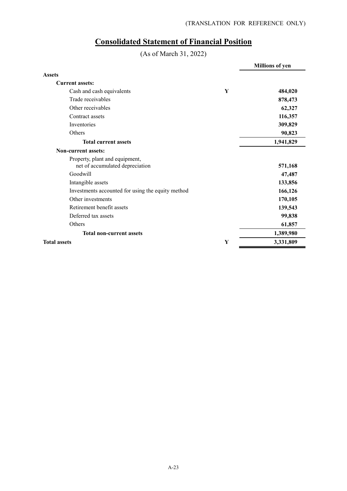# **Consolidated Statement of Financial Position**

(As of March 31, 2022)

|                                                                   |   | <b>Millions of yen</b> |
|-------------------------------------------------------------------|---|------------------------|
| <b>Assets</b>                                                     |   |                        |
| <b>Current assets:</b>                                            |   |                        |
| Cash and cash equivalents                                         | Y | 484,020                |
| Trade receivables                                                 |   | 878,473                |
| Other receivables                                                 |   | 62,327                 |
| Contract assets                                                   |   | 116,357                |
| Inventories                                                       |   | 309,829                |
| Others                                                            |   | 90,823                 |
| <b>Total current assets</b>                                       |   | 1,941,829              |
| Non-current assets:                                               |   |                        |
| Property, plant and equipment,<br>net of accumulated depreciation |   | 571,168                |
| Goodwill                                                          |   | 47,487                 |
| Intangible assets                                                 |   | 133,856                |
| Investments accounted for using the equity method                 |   | 166,126                |
| Other investments                                                 |   | 170,105                |
| Retirement benefit assets                                         |   | 139,543                |
| Deferred tax assets                                               |   | 99,838                 |
| Others                                                            |   | 61,857                 |
| <b>Total non-current assets</b>                                   |   | 1,389,980              |
| <b>Total assets</b>                                               | Y | 3,331,809              |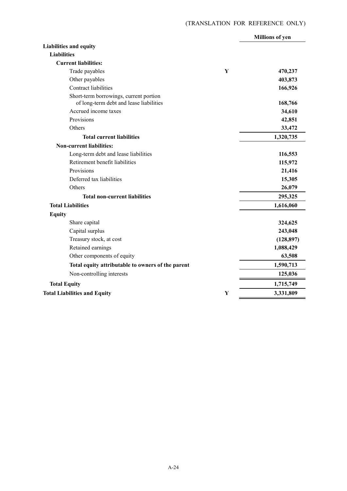|                                                                                   |   | <b>Millions of yen</b> |
|-----------------------------------------------------------------------------------|---|------------------------|
| <b>Liabilities and equity</b>                                                     |   |                        |
| <b>Liabilities</b>                                                                |   |                        |
| <b>Current liabilities:</b>                                                       |   |                        |
| Trade payables                                                                    | Y | 470,237                |
| Other payables                                                                    |   | 403,873                |
| Contract liabilities                                                              |   | 166,926                |
| Short-term borrowings, current portion<br>of long-term debt and lease liabilities |   | 168,766                |
| Accrued income taxes                                                              |   | 34,610                 |
| Provisions                                                                        |   | 42,851                 |
| Others                                                                            |   | 33,472                 |
| <b>Total current liabilities</b>                                                  |   | 1,320,735              |
| <b>Non-current liabilities:</b>                                                   |   |                        |
| Long-term debt and lease liabilities                                              |   | 116,553                |
| Retirement benefit liabilities                                                    |   | 115,972                |
| Provisions                                                                        |   | 21,416                 |
| Deferred tax liabilities                                                          |   | 15,305                 |
| Others                                                                            |   | 26,079                 |
| <b>Total non-current liabilities</b>                                              |   | 295,325                |
| <b>Total Liabilities</b>                                                          |   | 1,616,060              |
| <b>Equity</b>                                                                     |   |                        |
| Share capital                                                                     |   | 324,625                |
| Capital surplus                                                                   |   | 243,048                |
| Treasury stock, at cost                                                           |   | (128, 897)             |
| Retained earnings                                                                 |   | 1,088,429              |
| Other components of equity                                                        |   | 63,508                 |
| Total equity attributable to owners of the parent                                 |   | 1,590,713              |
| Non-controlling interests                                                         |   | 125,036                |
| <b>Total Equity</b>                                                               |   | 1,715,749              |
| <b>Total Liabilities and Equity</b>                                               | Y | 3,331,809              |
|                                                                                   |   |                        |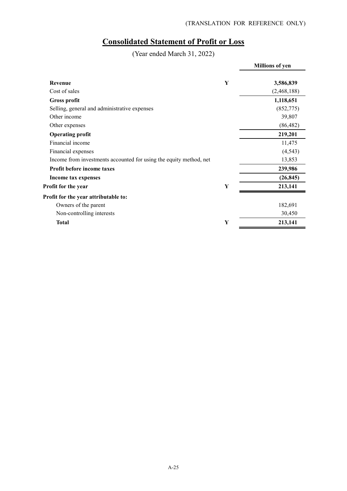# **Consolidated Statement of Profit or Loss**

(Year ended March 31, 2022)

|                                                                    |   | <b>Millions of yen</b> |
|--------------------------------------------------------------------|---|------------------------|
| Revenue                                                            | Y | 3,586,839              |
| Cost of sales                                                      |   | (2, 468, 188)          |
| <b>Gross profit</b>                                                |   | 1,118,651              |
| Selling, general and administrative expenses                       |   | (852,775)              |
| Other income                                                       |   | 39,807                 |
| Other expenses                                                     |   | (86, 482)              |
| <b>Operating profit</b>                                            |   | 219,201                |
| Financial income                                                   |   | 11,475                 |
| Financial expenses                                                 |   | (4, 543)               |
| Income from investments accounted for using the equity method, net |   | 13,853                 |
| Profit before income taxes                                         |   | 239,986                |
| Income tax expenses                                                |   | (26, 845)              |
| Profit for the year                                                | Y | 213,141                |
| Profit for the year attributable to:                               |   |                        |
| Owners of the parent                                               |   | 182,691                |
| Non-controlling interests                                          |   | 30,450                 |
| <b>Total</b>                                                       | Y | 213,141                |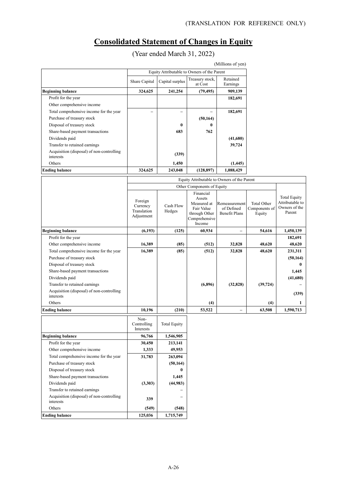# **Consolidated Statement of Changes in Equity**

(Year ended March 31, 2022)

|                                                        |                                             |                 |                            | (Millions of yen)    |
|--------------------------------------------------------|---------------------------------------------|-----------------|----------------------------|----------------------|
|                                                        | Equity Attributable to Owners of the Parent |                 |                            |                      |
|                                                        | Share Capital                               | Capital surplus | Treasury stock,<br>at Cost | Retained<br>Earnings |
| <b>Beginning balance</b>                               | 324,625                                     | 241,254         | (79, 495)                  | 909,139              |
| Profit for the year                                    |                                             |                 |                            | 182,691              |
| Other comprehensive income                             |                                             |                 |                            |                      |
| Total comprehensive income for the year                |                                             |                 |                            | 182,691              |
| Purchase of treasury stock                             |                                             |                 | (50, 164)                  |                      |
| Disposal of treasury stock                             |                                             | 0               | 0                          |                      |
| Share-based payment transactions                       |                                             | 683             | 762                        |                      |
| Dividends paid                                         |                                             |                 |                            | (41,680)             |
| Transfer to retained earnings                          |                                             |                 |                            | 39,724               |
| Acquisition (disposal) of non-controlling<br>interests |                                             | (339)           |                            |                      |
| Others                                                 |                                             | 1,450           |                            | (1, 445)             |
| <b>Ending balance</b>                                  | 324,625                                     | 243,048         | (128, 897)                 | 1,088,429            |

|                                                        | Equity Attributable to Owners of the Parent      |                     |                                                                                              |                                                     |                                               |                                                                   |
|--------------------------------------------------------|--------------------------------------------------|---------------------|----------------------------------------------------------------------------------------------|-----------------------------------------------------|-----------------------------------------------|-------------------------------------------------------------------|
|                                                        |                                                  |                     | Other Components of Equity                                                                   |                                                     |                                               |                                                                   |
|                                                        | Foreign<br>Currency<br>Translation<br>Adjustment | Cash Flow<br>Hedges | Financial<br>Assets<br>Measured at<br>Fair Value<br>through Other<br>Comprehensive<br>Income | Remeasurement<br>of Defined<br><b>Benefit Plans</b> | <b>Total Other</b><br>Components of<br>Equity | <b>Total Equity</b><br>Attributable to<br>Owners of the<br>Parent |
| <b>Beginning balance</b>                               | (6, 193)                                         | (125)               | 60,934                                                                                       | $\overline{\phantom{0}}$                            | 54,616                                        | 1,450,139                                                         |
| Profit for the year                                    |                                                  |                     |                                                                                              |                                                     |                                               | 182,691                                                           |
| Other comprehensive income                             | 16,389                                           | (85)                | (512)                                                                                        | 32,828                                              | 48,620                                        | 48,620                                                            |
| Total comprehensive income for the year                | 16,389                                           | (85)                | (512)                                                                                        | 32,828                                              | 48,620                                        | 231,311                                                           |
| Purchase of treasury stock                             |                                                  |                     |                                                                                              |                                                     |                                               | (50, 164)                                                         |
| Disposal of treasury stock                             |                                                  |                     |                                                                                              |                                                     |                                               | 0                                                                 |
| Share-based payment transactions                       |                                                  |                     |                                                                                              |                                                     |                                               | 1,445                                                             |
| Dividends paid                                         |                                                  |                     |                                                                                              |                                                     |                                               | (41,680)                                                          |
| Transfer to retained earnings                          |                                                  |                     | (6,896)                                                                                      | (32, 828)                                           | (39, 724)                                     |                                                                   |
| Acquisition (disposal) of non-controlling<br>interests |                                                  |                     |                                                                                              |                                                     |                                               | (339)                                                             |
| Others                                                 |                                                  |                     | (4)                                                                                          |                                                     | (4)                                           | 1                                                                 |
| <b>Ending balance</b>                                  | 10,196                                           | (210)               | 53,522                                                                                       | $\overline{\phantom{0}}$                            | 63,508                                        | 1,590,713                                                         |
|                                                        | Non-<br>Controlling<br>Interests                 | <b>Total Equity</b> |                                                                                              |                                                     |                                               |                                                                   |
| <b>Beginning balance</b>                               | 96,766                                           | 1,546,905           |                                                                                              |                                                     |                                               |                                                                   |
| Profit for the year                                    | 30,450                                           | 213,141             |                                                                                              |                                                     |                                               |                                                                   |
| Other comprehensive income                             | 1,333                                            | 49,953              |                                                                                              |                                                     |                                               |                                                                   |
| Total comprehensive income for the year                | 31,783                                           | 263,094             |                                                                                              |                                                     |                                               |                                                                   |
| Purchase of treasury stock                             |                                                  | (50, 164)           |                                                                                              |                                                     |                                               |                                                                   |
| Disposal of treasury stock                             |                                                  | 0                   |                                                                                              |                                                     |                                               |                                                                   |
| Share-based payment transactions                       |                                                  | 1,445               |                                                                                              |                                                     |                                               |                                                                   |
| Dividends paid                                         | (3,303)                                          | (44,983)            |                                                                                              |                                                     |                                               |                                                                   |
| Transfer to retained earnings                          |                                                  |                     |                                                                                              |                                                     |                                               |                                                                   |
| Acquisition (disposal) of non-controlling<br>interests | 339                                              |                     |                                                                                              |                                                     |                                               |                                                                   |

Others **(549)** (548) **Ending balance** 125,036 1,715,749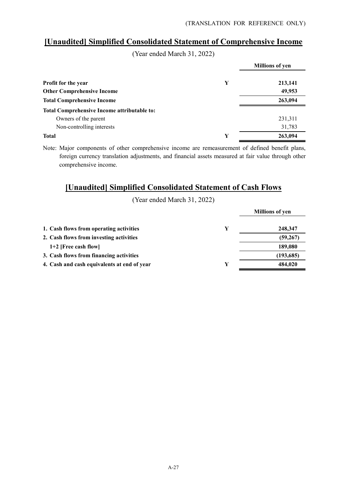# **[Unaudited] Simplified Consolidated Statement of Comprehensive Income**

(Year ended March 31, 2022)

|                                                    |   | <b>Millions of yen</b> |
|----------------------------------------------------|---|------------------------|
| Profit for the year                                | Y | 213,141                |
| <b>Other Comprehensive Income</b>                  |   | 49,953                 |
| <b>Total Comprehensive Income</b>                  |   | 263,094                |
| <b>Total Comprehensive Income attributable to:</b> |   |                        |
| Owners of the parent                               |   | 231,311                |
| Non-controlling interests                          |   | 31,783                 |
| <b>Total</b>                                       | Y | 263,094                |

Note: Major components of other comprehensive income are remeasurement of defined benefit plans, foreign currency translation adjustments, and financial assets measured at fair value through other comprehensive income.

# **[Unaudited] Simplified Consolidated Statement of Cash Flows**

(Year ended March 31, 2022)

|                                             |   | <b>Millions of yen</b> |
|---------------------------------------------|---|------------------------|
| 1. Cash flows from operating activities     | Y | 248,347                |
| 2. Cash flows from investing activities     |   | (59, 267)              |
| $1+2$ [Free cash flow]                      |   | 189.080                |
| 3. Cash flows from financing activities     |   | (193, 685)             |
| 4. Cash and cash equivalents at end of year | Y | 484,020                |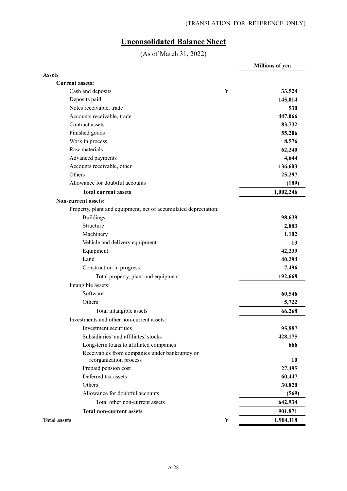# **Unconsolidated Balance Sheet**

(As of March 31, 2022)

|                                                                 | <b>Millions of yen</b> |
|-----------------------------------------------------------------|------------------------|
| <b>Assets</b>                                                   |                        |
| <b>Current assets:</b>                                          |                        |
| Cash and deposits<br>Y                                          | 33,524                 |
| Deposits paid                                                   | 145,014                |
| Notes receivable, trade                                         | 530                    |
| Accounts receivable, trade                                      | 447,066                |
| Contract assets                                                 | 83,732                 |
| Finished goods                                                  | 55,206                 |
| Work in process                                                 | 8,576                  |
| Raw materials                                                   | 62,240                 |
| Advanced payments                                               | 4,644                  |
| Accounts receivable, other                                      | 136,603                |
| Others                                                          | 25,297                 |
| Allowance for doubtful accounts                                 | (189)                  |
| <b>Total current assets</b>                                     | 1,002,246              |
| <b>Non-current assets:</b>                                      |                        |
| Property, plant and equipment, net of accumulated depreciation: |                        |
| <b>Buildings</b>                                                | 98,639                 |
| Structure                                                       | 2,883                  |
| Machinery                                                       | 1,102                  |
| Vehicle and delivery equipment                                  | 13                     |
| Equipment                                                       | 42,239                 |
| Land                                                            | 40,294                 |
| Construction in progress                                        | 7,496                  |
| Total property, plant and equipment                             | 192,668                |
| Intangible assets:                                              |                        |
| Software                                                        | 60,546                 |
| Others                                                          | 5,722                  |
| Total intangible assets                                         | 66,268                 |
| Investments and other non-current assets:                       |                        |
| Investment securities                                           | 95,887                 |
| Subsidiaries' and affiliates' stocks                            | 428,175                |
| Long-term loans to affiliated companies                         | 666                    |
| Receivables from companies under bankruptcy or                  |                        |
| reorganization process                                          | 10                     |
| Prepaid pension cost                                            | 27,495                 |
| Deferred tax assets                                             | 60,447                 |
| Others                                                          | 30,820                 |
| Allowance for doubtful accounts                                 | (569)                  |
| Total other non-current assets                                  | 642,934                |
| <b>Total non-current assets</b>                                 | 901,871                |
| <b>Total assets</b><br>$\mathbf Y$                              | 1,904,118              |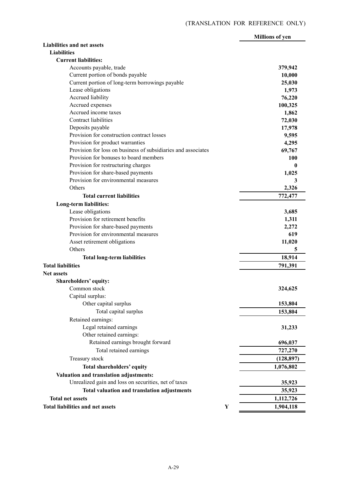|                                                               |   | <b>Millions of yen</b> |
|---------------------------------------------------------------|---|------------------------|
| <b>Liabilities and net assets</b>                             |   |                        |
| <b>Liabilities</b>                                            |   |                        |
| <b>Current liabilities:</b>                                   |   |                        |
| Accounts payable, trade                                       |   | 379,942                |
| Current portion of bonds payable                              |   | 10,000                 |
| Current portion of long-term borrowings payable               |   | 25,030                 |
| Lease obligations                                             |   | 1,973                  |
| Accrued liability                                             |   | 76,220                 |
| Accrued expenses                                              |   | 100,325                |
| Accrued income taxes                                          |   | 1,862                  |
| Contract liabilities                                          |   | 72,030                 |
| Deposits payable                                              |   | 17,978                 |
| Provision for construction contract losses                    |   | 9,595                  |
| Provision for product warranties                              |   | 4,295                  |
| Provision for loss on business of subsidiaries and associates |   | 69,767                 |
| Provision for bonuses to board members                        |   | 100                    |
| Provision for restructuring charges                           |   | 0                      |
| Provision for share-based payments                            |   | 1,025                  |
| Provision for environmental measures                          |   | 3                      |
| Others                                                        |   | 2,326                  |
| <b>Total current liabilities</b>                              |   | 772,477                |
| Long-term liabilities:                                        |   |                        |
| Lease obligations                                             |   | 3,685                  |
| Provision for retirement benefits                             |   | 1,311                  |
| Provision for share-based payments                            |   | 2,272                  |
| Provision for environmental measures                          |   | 619                    |
|                                                               |   |                        |
| Asset retirement obligations<br>Others                        |   | 11,020                 |
|                                                               |   | 5                      |
| <b>Total long-term liabilities</b>                            |   | 18,914                 |
| <b>Total liabilities</b>                                      |   | 791,391                |
| <b>Net assets</b>                                             |   |                        |
| Shareholders' equity:                                         |   |                        |
| Common stock                                                  |   | 324,625                |
| Capital surplus:                                              |   |                        |
| Other capital surplus                                         |   | 153,804                |
| Total capital surplus                                         |   | 153,804                |
| Retained earnings:                                            |   |                        |
| Legal retained earnings                                       |   | 31,233                 |
| Other retained earnings:                                      |   |                        |
| Retained earnings brought forward                             |   | 696,037                |
| Total retained earnings                                       |   | 727,270                |
| Treasury stock                                                |   | (128, 897)             |
| Total shareholders' equity                                    |   | 1,076,802              |
| Valuation and translation adjustments:                        |   |                        |
| Unrealized gain and loss on securities, net of taxes          |   | 35,923                 |
|                                                               |   |                        |
| Total valuation and translation adjustments                   |   | 35,923                 |
| <b>Total net assets</b>                                       |   | 1,112,726              |
| <b>Total liabilities and net assets</b>                       | Y | 1,904,118              |